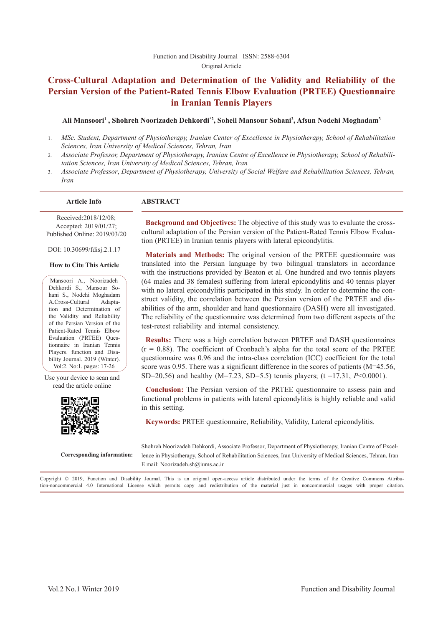#### Function and Disability Journal ISSN: 2588-6304 Original Article

# **Cross-Cultural Adaptation and Determination of the Validity and Reliability of the Persian Version of the Patient-Rated Tennis Elbow Evaluation (PRTEE) Questionnaire in Iranian Tennis Players**

#### Ali Mansoori<sup>1</sup> , Shohreh Noorizadeh Dehkordi\*<sup>2</sup>, Soheil Mansour Sohani<sup>2</sup>, Afsun Nodehi Moghadam<sup>3</sup>

- 1. *MSc. Student, Department of Physiotherapy, Iranian Center of Excellence in Physiotherapy, School of Rehabilitation Sciences, Iran University of Medical Sciences, Tehran, Iran*
- 2. *Associate Professor, Department of Physiotherapy, Iranian Centre of Excellence in Physiotherapy, School of Rehabilitation Sciences, Iran University of Medical Sciences, Tehran, Iran*
- 3. *Associate Professor*, *Department of Physiotherapy, University of Social Welfare and Rehabilitation Sciences, Tehran, Iran*

#### **Article Info ABSTRACT**

Received:2018/12/08; Accepted: 2019/01/27; Published Online: 2019/03/20

DOI: 10.30699/fdisj.2.1.17

#### **How to Cite This Article**

Mansoori A., Noorizadeh Dehkordi S., Mansour Sohani S., Nodehi Moghadam A.Cross-Cultural Adaptation and Determination of the Validity and Reliability of the Persian Version of the Patient-Rated Tennis Elbow Evaluation (PRTEE) Questionnaire in Iranian Tennis Players. function and Disability Journal. 2019 (Winter). Vol:2. No:1. pages: 17-26

Use your device to scan and read the article online



**Background and Objectives:** The objective of this study was to evaluate the crosscultural adaptation of the Persian version of the Patient-Rated Tennis Elbow Evaluation (PRTEE) in Iranian tennis players with lateral epicondylitis.

#### **Materials and Methods:** The original version of the PRTEE questionnaire was translated into the Persian language by two bilingual translators in accordance with the instructions provided by Beaton et al. One hundred and two tennis players (64 males and 38 females) suffering from lateral epicondylitis and 40 tennis player with no lateral epicondylitis participated in this study. In order to determine the construct validity, the correlation between the Persian version of the PRTEE and disabilities of the arm, shoulder and hand questionnaire (DASH) were all investigated. The reliability of the questionnaire was determined from two different aspects of the test-retest reliability and internal consistency.

**Results:** There was a high correlation between PRTEE and DASH questionnaires  $(r = 0.88)$ . The coefficient of Cronbach's alpha for the total score of the PRTEE questionnaire was 0.96 and the intra-class correlation (ICC) coefficient for the total score was 0.95. There was a significant difference in the scores of patients (M=45.56, SD=20.56) and healthy (M=7.23, SD=5.5) tennis players; (t =17.31, *P*<0.0001).

**Conclusion:** The Persian version of the PRTEE questionnaire to assess pain and functional problems in patients with lateral epicondylitis is highly reliable and valid in this setting.

**Keywords:** PRTEE questionnaire, Reliability, Validity, Lateral epicondylitis.

**Corresponding information:** Shohreh Noorizadeh Dehkordi, Associate Professor, Department of Physiotherapy, Iranian Centre of Excellence in Physiotherapy, School of Rehabilitation Sciences, Iran University of Medical Sciences, Tehran, Iran E mail: Noorizadeh.sh@iums.ac.ir

Copyright © 2019, Function and Disability Journal. This is an original open-access article distributed under the terms of the Creative Commons Attribution-noncommercial 4.0 International License which permits copy and redistribution of the material just in noncommercial usages with proper citation.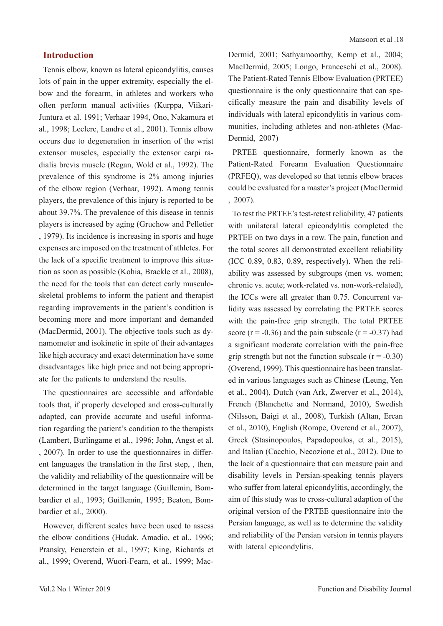## **Introduction**

Tennis elbow, known as lateral epicondylitis, causes lots of pain in the upper extremity, especially the elbow and the forearm, in athletes and workers who often perform manual activities (Kurppa, Viikari-Juntura et al. 1991; Verhaar 1994, Ono, Nakamura et al., 1998; Leclerc, Landre et al., 2001). Tennis elbow occurs due to degeneration in insertion of the wrist extensor muscles, especially the extensor carpi radialis brevis muscle (Regan, Wold et al., 1992). The prevalence of this syndrome is 2% among injuries of the elbow region (Verhaar, 1992). Among tennis players, the prevalence of this injury is reported to be about 39.7%. The prevalence of this disease in tennis players is increased by aging (Gruchow and Pelletier , 1979). Its incidence is increasing in sports and huge expenses are imposed on the treatment of athletes. For the lack of a specific treatment to improve this situation as soon as possible (Kohia, Brackle et al., 2008), the need for the tools that can detect early musculoskeletal problems to inform the patient and therapist regarding improvements in the patient's condition is becoming more and more important and demanded (MacDermid, 2001). The objective tools such as dynamometer and isokinetic in spite of their advantages like high accuracy and exact determination have some disadvantages like high price and not being appropriate for the patients to understand the results.

The questionnaires are accessible and affordable tools that, if properly developed and cross-culturally adapted, can provide accurate and useful information regarding the patient's condition to the therapists (Lambert, Burlingame et al., 1996; John, Angst et al. , 2007). In order to use the questionnaires in different languages the translation in the first step, , then, the validity and reliability of the questionnaire will be determined in the target language (Guillemin, Bombardier et al., 1993; Guillemin, 1995; Beaton, Bombardier et al., 2000).

However, different scales have been used to assess the elbow conditions (Hudak, Amadio, et al., 1996; Pransky, Feuerstein et al., 1997; King, Richards et al., 1999; Overend, Wuori-Fearn, et al., 1999; MacDermid, 2001; Sathyamoorthy, Kemp et al., 2004; MacDermid, 2005; Longo, Franceschi et al., 2008). The Patient-Rated Tennis Elbow Evaluation (PRTEE) questionnaire is the only questionnaire that can specifically measure the pain and disability levels of individuals with lateral epicondylitis in various communities, including athletes and non-athletes (Mac-Dermid, 2007)

PRTEE questionnaire, formerly known as the Patient-Rated Forearm Evaluation Questionnaire (PRFEQ), was developed so that tennis elbow braces could be evaluated for a master's project (MacDermid , 2007).

To test the PRTEE's test-retest reliability, 47 patients with unilateral lateral epicondylitis completed the PRTEE on two days in a row. The pain, function and the total scores all demonstrated excellent reliability (ICC 0.89, 0.83, 0.89, respectively). When the reliability was assessed by subgroups (men vs. women; chronic vs. acute; work-related vs. non-work-related), the ICCs were all greater than 0.75. Concurrent validity was assessed by correlating the PRTEE scores with the pain-free grip strength. The total PRTEE score ( $r = -0.36$ ) and the pain subscale ( $r = -0.37$ ) had a significant moderate correlation with the pain-free grip strength but not the function subscale  $(r = -0.30)$ (Overend, 1999). This questionnaire has been translated in various languages such as Chinese (Leung, Yen et al., 2004), Dutch (van Ark, Zwerver et al., 2014), French (Blanchette and Normand, 2010), Swedish (Nilsson, Baigi et al., 2008), Turkish (Altan, Ercan et al., 2010), English (Rompe, Overend et al., 2007), Greek (Stasinopoulos, Papadopoulos, et al., 2015), and Italian (Cacchio, Necozione et al., 2012). Due to the lack of a questionnaire that can measure pain and disability levels in Persian-speaking tennis players who suffer from lateral epicondylitis, accordingly, the aim of this study was to cross-cultural adaption of the original version of the PRTEE questionnaire into the Persian language, as well as to determine the validity and reliability of the Persian version in tennis players with lateral epicondylitis.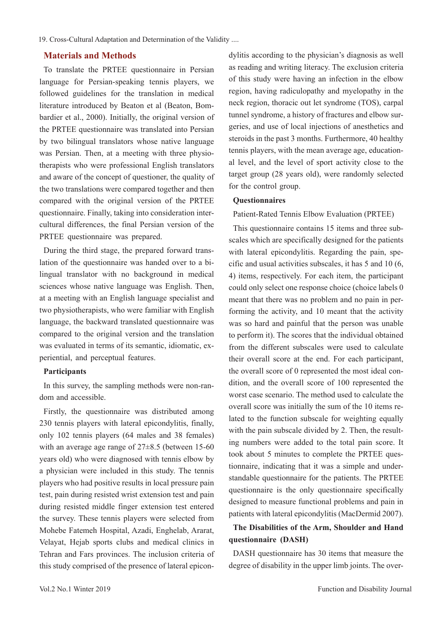## **Materials and Methods**

To translate the PRTEE questionnaire in Persian language for Persian-speaking tennis players, we followed guidelines for the translation in medical literature introduced by Beaton et al (Beaton, Bombardier et al., 2000). Initially, the original version of the PRTEE questionnaire was translated into Persian by two bilingual translators whose native language was Persian. Then, at a meeting with three physiotherapists who were professional English translators and aware of the concept of questioner, the quality of the two translations were compared together and then compared with the original version of the PRTEE questionnaire. Finally, taking into consideration intercultural differences, the final Persian version of the PRTEE questionnaire was prepared.

During the third stage, the prepared forward translation of the questionnaire was handed over to a bilingual translator with no background in medical sciences whose native language was English. Then, at a meeting with an English language specialist and two physiotherapists, who were familiar with English language, the backward translated questionnaire was compared to the original version and the translation was evaluated in terms of its semantic, idiomatic, experiential, and perceptual features.

#### **Participants**

In this survey, the sampling methods were non-random and accessible.

Firstly, the questionnaire was distributed among 230 tennis players with lateral epicondylitis, finally, only 102 tennis players (64 males and 38 females) with an average age range of  $27\pm8.5$  (between 15-60) years old) who were diagnosed with tennis elbow by a physician were included in this study. The tennis players who had positive results in local pressure pain test, pain during resisted wrist extension test and pain during resisted middle finger extension test entered the survey. These tennis players were selected from Mohebe Fatemeh Hospital, Azadi, Enghelab, Ararat, Velayat, Hejab sports clubs and medical clinics in Tehran and Fars provinces. The inclusion criteria of this study comprised of the presence of lateral epicondylitis according to the physician's diagnosis as well as reading and writing literacy. The exclusion criteria of this study were having an infection in the elbow region, having radiculopathy and myelopathy in the neck region, thoracic out let syndrome (TOS), carpal tunnel syndrome, a history of fractures and elbow surgeries, and use of local injections of anesthetics and steroids in the past 3 months. Furthermore, 40 healthy tennis players, with the mean average age, educational level, and the level of sport activity close to the target group (28 years old), were randomly selected for the control group.

#### **Questionnaires**

Patient-Rated Tennis Elbow Evaluation (PRTEE)

This questionnaire contains 15 items and three subscales which are specifically designed for the patients with lateral epicondylitis. Regarding the pain, specific and usual activities subscales, it has 5 and 10 (6, 4) items, respectively. For each item, the participant could only select one response choice (choice labels 0 meant that there was no problem and no pain in performing the activity, and 10 meant that the activity was so hard and painful that the person was unable to perform it). The scores that the individual obtained from the different subscales were used to calculate their overall score at the end. For each participant, the overall score of 0 represented the most ideal condition, and the overall score of 100 represented the worst case scenario. The method used to calculate the overall score was initially the sum of the 10 items related to the function subscale for weighting equally with the pain subscale divided by 2. Then, the resulting numbers were added to the total pain score. It took about 5 minutes to complete the PRTEE questionnaire, indicating that it was a simple and understandable questionnaire for the patients. The PRTEE questionnaire is the only questionnaire specifically designed to measure functional problems and pain in patients with lateral epicondylitis (MacDermid 2007).

# **The Disabilities of the Arm, Shoulder and Hand questionnaire (DASH)**

DASH questionnaire has 30 items that measure the degree of disability in the upper limb joints. The over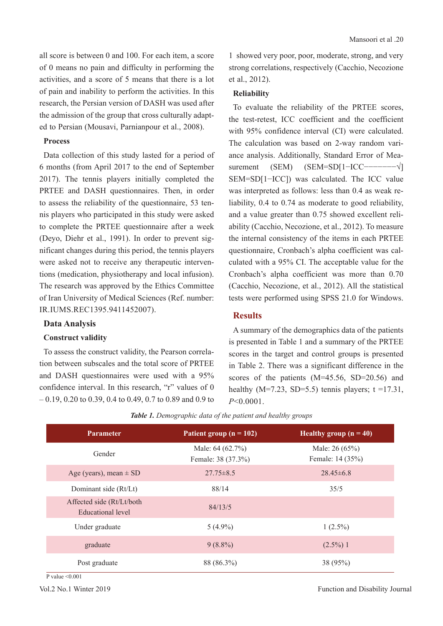all score is between 0 and 100. For each item, a score of 0 means no pain and difficulty in performing the activities, and a score of 5 means that there is a lot of pain and inability to perform the activities. In this research, the Persian version of DASH was used after the admission of the group that cross culturally adapted to Persian (Mousavi, Parnianpour et al., 2008).

#### **Process**

Data collection of this study lasted for a period of 6 months (from April 2017 to the end of September 2017). The tennis players initially completed the PRTEE and DASH questionnaires. Then, in order to assess the reliability of the questionnaire, 53 tennis players who participated in this study were asked to complete the PRTEE questionnaire after a week (Deyo, Diehr et al., 1991). In order to prevent significant changes during this period, the tennis players were asked not to receive any therapeutic interventions (medication, physiotherapy and local infusion). The research was approved by the Ethics Committee of Iran University of Medical Sciences (Ref. number: IR.IUMS.REC1395.9411452007).

#### **Data Analysis**

#### **Construct validity**

To assess the construct validity, the Pearson correlation between subscales and the total score of PRTEE and DASH questionnaires were used with a 95% confidence interval. In this research, "r" values of 0 – 0.19, 0.20 to 0.39, 0.4 to 0.49, 0.7 to 0.89 and 0.9 to 1 showed very poor, poor, moderate, strong, and very strong correlations, respectively (Cacchio, Necozione et al., 2012).

#### **Reliability**

To evaluate the reliability of the PRTEE scores, the test-retest, ICC coefficient and the coefficient with 95% confidence interval (CI) were calculated. The calculation was based on 2-way random variance analysis. Additionally, Standard Error of Measurement (SEM) (SEM=SD[1-ICC−−−−−−−√] SEM=SD[1−ICC]) was calculated. The ICC value was interpreted as follows: less than 0.4 as weak reliability, 0.4 to 0.74 as moderate to good reliability, and a value greater than 0.75 showed excellent reliability (Cacchio, Necozione, et al., 2012). To measure the internal consistency of the items in each PRTEE questionnaire, Cronbach's alpha coefficient was calculated with a 95% CI. The acceptable value for the Cronbach's alpha coefficient was more than 0.70 (Cacchio, Necozione, et al., 2012). All the statistical tests were performed using SPSS 21.0 for Windows.

## **Results**

A summary of the demographics data of the patients is presented in Table 1 and a summary of the PRTEE scores in the target and control groups is presented in Table 2. There was a significant difference in the scores of the patients (M=45.56, SD=20.56) and healthy (M=7.23, SD=5.5) tennis players;  $t = 17.31$ , *P*<0.0001.

| <b>Parameter</b>                               | Patient group ( $n = 102$ )            | Healthy group $(n = 40)$           |
|------------------------------------------------|----------------------------------------|------------------------------------|
| Gender                                         | Male: 64 (62.7%)<br>Female: 38 (37.3%) | Male: 26 (65%)<br>Female: 14 (35%) |
| Age (years), mean $\pm$ SD                     | $27.75 \pm 8.5$                        | $28.45\pm 6.8$                     |
| Dominant side (Rt/Lt)                          | 88/14                                  | 35/5                               |
| Affected side (Rt/Lt/both<br>Educational level | 84/13/5                                |                                    |
| Under graduate                                 | $5(4.9\%)$                             | $1(2.5\%)$                         |
| graduate                                       | $9(8.8\%)$                             | $(2.5\%)$ 1                        |
| Post graduate                                  | 88 (86.3%)                             | 38 (95%)                           |

*Table 1. Demographic data of the patient and healthy groups*

P value  $\leq 0.001$ 

Vol.2 No.1 Winter 2019 **Function and Disability Journal**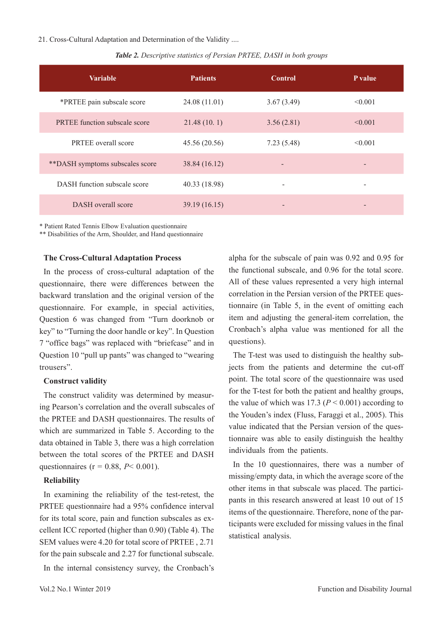21. Cross-Cultural Adaptation and Determination of the Validity ....

| <b>Variable</b>                      | <b>Patients</b> | <b>Control</b> | P value |
|--------------------------------------|-----------------|----------------|---------|
| *PRTEE pain subscale score           | 24.08 (11.01)   | 3.67(3.49)     | < 0.001 |
| <b>PRTEE</b> function subscale score | 21.48(10.1)     | 3.56(2.81)     | < 0.001 |
| <b>PRTEE</b> overall score           | 45.56 (20.56)   | 7.23(5.48)     | < 0.001 |
| **DASH symptoms subscales score      | 38.84 (16.12)   |                |         |
| DASH function subscale score         | 40.33 (18.98)   |                |         |
| DASH overall score                   | 39.19 (16.15)   |                |         |

*Table 2. Descriptive statistics of Persian PRTEE, DASH in both groups*

\* Patient Rated Tennis Elbow Evaluation questionnaire

\*\* Disabilities of the Arm, Shoulder, and Hand questionnaire

#### **The Cross-Cultural Adaptation Process**

In the process of cross-cultural adaptation of the questionnaire, there were differences between the backward translation and the original version of the questionnaire. For example, in special activities, Question 6 was changed from "Turn doorknob or key" to "Turning the door handle or key". In Question 7 "office bags" was replaced with "briefcase" and in Question 10 "pull up pants" was changed to "wearing trousers".

#### **Construct validity**

The construct validity was determined by measuring Pearson's correlation and the overall subscales of the PRTEE and DASH questionnaires. The results of which are summarized in Table 5. According to the data obtained in Table 3, there was a high correlation between the total scores of the PRTEE and DASH questionnaires (r = 0.88, *P*< 0.001).

#### **Reliability**

In examining the reliability of the test-retest, the PRTEE questionnaire had a 95% confidence interval for its total score, pain and function subscales as excellent ICC reported (higher than 0.90) (Table 4). The SEM values were 4.20 for total score of PRTEE , 2.71 for the pain subscale and 2.27 for functional subscale.

In the internal consistency survey, the Cronbach's

alpha for the subscale of pain was 0.92 and 0.95 for the functional subscale, and 0.96 for the total score. All of these values represented a very high internal correlation in the Persian version of the PRTEE questionnaire (in Table 5, in the event of omitting each item and adjusting the general-item correlation, the Cronbach's alpha value was mentioned for all the questions).

The T-test was used to distinguish the healthy subjects from the patients and determine the cut-off point. The total score of the questionnaire was used for the T-test for both the patient and healthy groups, the value of which was 17.3 ( $P \le 0.001$ ) according to the Youden's index (Fluss, Faraggi et al., 2005). This value indicated that the Persian version of the questionnaire was able to easily distinguish the healthy individuals from the patients.

In the 10 questionnaires, there was a number of missing/empty data, in which the average score of the other items in that subscale was placed. The participants in this research answered at least 10 out of 15 items of the questionnaire. Therefore, none of the participants were excluded for missing values in the final statistical analysis.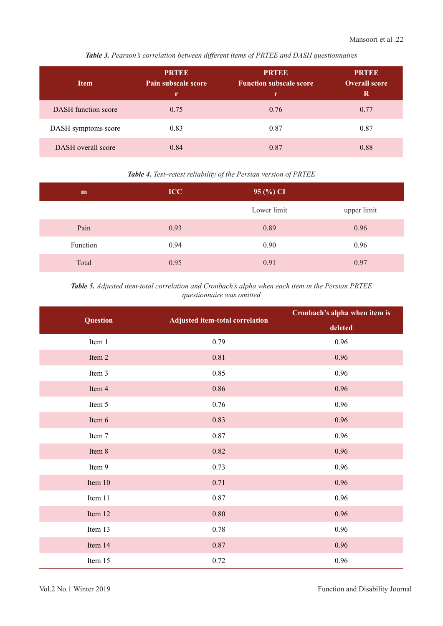*Table 3. Pearson's correlation between different items of PRTEE and DASH questionnaires*

| <b>Item</b>                | <b>PRTDE</b><br>Pain subscale score<br>r | <b>PRTEE</b><br><b>Function subscale score</b><br>r | <b>PRTEE</b><br><b>Overall score</b><br>R |
|----------------------------|------------------------------------------|-----------------------------------------------------|-------------------------------------------|
| <b>DASH</b> function score | 0.75                                     | 0.76                                                | 0.77                                      |
| DASH symptoms score        | 0.83                                     | 0.87                                                | 0.87                                      |
| DASH overall score         | 0.84                                     | 0.87                                                | 0.88                                      |

## *Table 4. Test–retest reliability of the Persian version of PRTEE*

| m        | ICC  | $95\,(%) CI$ |             |
|----------|------|--------------|-------------|
|          |      | Lower limit  | upper limit |
| Pain     | 0.93 | 0.89         | 0.96        |
| Function | 0.94 | 0.90         | 0.96        |
| Total    | 0.95 | 0.91         | 0.97        |

## *Table 5. Adjusted item-total correlation and Cronbach's alpha when each item in the Persian PRTEE questionnaire was omitted*

| Question  | <b>Adjusted item-total correlation</b> | Cronbach's alpha when item is |
|-----------|----------------------------------------|-------------------------------|
|           |                                        | deleted                       |
| Item 1    | 0.79                                   | 0.96                          |
| Item 2    | 0.81                                   | 0.96                          |
| Item 3    | 0.85                                   | 0.96                          |
| Item 4    | 0.86                                   | 0.96                          |
| Item 5    | 0.76                                   | 0.96                          |
| Item 6    | 0.83                                   | 0.96                          |
| Item 7    | 0.87                                   | 0.96                          |
| Item 8    | 0.82                                   | 0.96                          |
| Item 9    | 0.73                                   | 0.96                          |
| Item $10$ | 0.71                                   | 0.96                          |
| Item 11   | 0.87                                   | 0.96                          |
| Item 12   | $0.80\,$                               | 0.96                          |
| Item 13   | 0.78                                   | 0.96                          |
| Item 14   | 0.87                                   | 0.96                          |
| Item 15   | 0.72                                   | 0.96                          |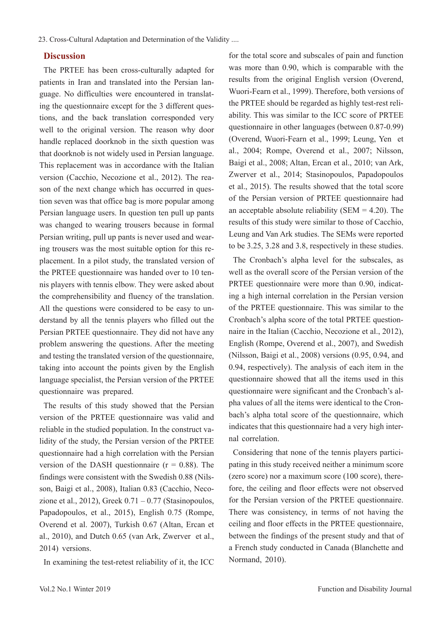## **Discussion**

The PRTEE has been cross-culturally adapted for patients in Iran and translated into the Persian language. No difficulties were encountered in translating the questionnaire except for the 3 different questions, and the back translation corresponded very well to the original version. The reason why door handle replaced doorknob in the sixth question was that doorknob is not widely used in Persian language. This replacement was in accordance with the Italian version (Cacchio, Necozione et al., 2012). The reason of the next change which has occurred in question seven was that office bag is more popular among Persian language users. In question ten pull up pants was changed to wearing trousers because in formal Persian writing, pull up pants is never used and wearing trousers was the most suitable option for this replacement. In a pilot study, the translated version of the PRTEE questionnaire was handed over to 10 tennis players with tennis elbow. They were asked about the comprehensibility and fluency of the translation. All the questions were considered to be easy to understand by all the tennis players who filled out the Persian PRTEE questionnaire. They did not have any problem answering the questions. After the meeting and testing the translated version of the questionnaire, taking into account the points given by the English language specialist, the Persian version of the PRTEE questionnaire was prepared.

The results of this study showed that the Persian version of the PRTEE questionnaire was valid and reliable in the studied population. In the construct validity of the study, the Persian version of the PRTEE questionnaire had a high correlation with the Persian version of the DASH questionnaire ( $r = 0.88$ ). The findings were consistent with the Swedish 0.88 (Nilsson, Baigi et al., 2008), Italian 0.83 (Cacchio, Necozione et al., 2012), Greek  $0.71 - 0.77$  (Stasinopoulos, Papadopoulos, et al., 2015), English 0.75 (Rompe, Overend et al. 2007), Turkish 0.67 (Altan, Ercan et al., 2010), and Dutch 0.65 (van Ark, Zwerver et al., 2014) versions.

In examining the test-retest reliability of it, the ICC

for the total score and subscales of pain and function was more than 0.90, which is comparable with the results from the original English version (Overend, Wuori-Fearn et al., 1999). Therefore, both versions of the PRTEE should be regarded as highly test-rest reliability. This was similar to the ICC score of PRTEE questionnaire in other languages (between 0.87-0.99) (Overend, Wuori-Fearn et al., 1999; Leung, Yen et al., 2004; Rompe, Overend et al., 2007; Nilsson, Baigi et al., 2008; Altan, Ercan et al., 2010; van Ark, Zwerver et al., 2014; Stasinopoulos, Papadopoulos et al., 2015). The results showed that the total score of the Persian version of PRTEE questionnaire had an acceptable absolute reliability (SEM  $=$  4.20). The results of this study were similar to those of Cacchio, Leung and Van Ark studies. The SEMs were reported to be 3.25, 3.28 and 3.8, respectively in these studies.

The Cronbach's alpha level for the subscales, as well as the overall score of the Persian version of the PRTEE questionnaire were more than 0.90, indicating a high internal correlation in the Persian version of the PRTEE questionnaire. This was similar to the Cronbach's alpha score of the total PRTEE questionnaire in the Italian (Cacchio, Necozione et al., 2012), English (Rompe, Overend et al., 2007), and Swedish (Nilsson, Baigi et al., 2008) versions (0.95, 0.94, and 0.94, respectively). The analysis of each item in the questionnaire showed that all the items used in this questionnaire were significant and the Cronbach's alpha values of all the items were identical to the Cronbach's alpha total score of the questionnaire, which indicates that this questionnaire had a very high internal correlation.

Considering that none of the tennis players participating in this study received neither a minimum score (zero score) nor a maximum score (100 score), therefore, the ceiling and floor effects were not observed for the Persian version of the PRTEE questionnaire. There was consistency, in terms of not having the ceiling and floor effects in the PRTEE questionnaire, between the findings of the present study and that of a French study conducted in Canada (Blanchette and Normand, 2010).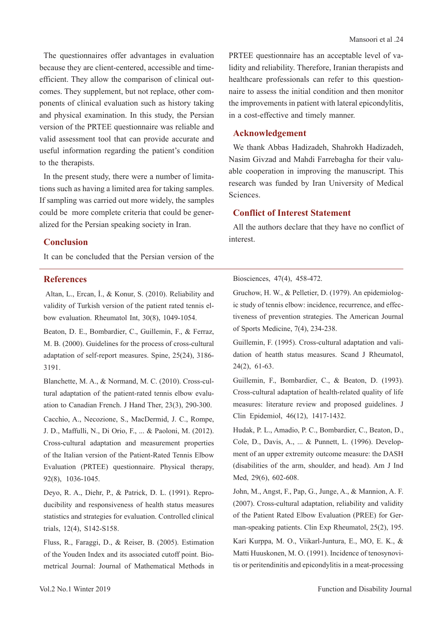The questionnaires offer advantages in evaluation because they are client-centered, accessible and timeefficient. They allow the comparison of clinical outcomes. They supplement, but not replace, other components of clinical evaluation such as history taking and physical examination. In this study, the Persian version of the PRTEE questionnaire was reliable and valid assessment tool that can provide accurate and useful information regarding the patient's condition to the therapists.

In the present study, there were a number of limitations such as having a limited area for taking samples. If sampling was carried out more widely, the samples could be more complete criteria that could be generalized for the Persian speaking society in Iran.

## **Conclusion**

It can be concluded that the Persian version of the

## **References**

 Altan, L., Ercan, İ., & Konur, S. (2010). Reliability and validity of Turkish version of the patient rated tennis elbow evaluation. Rheumatol Int, 30(8), 1049-1054.

Beaton, D. E., Bombardier, C., Guillemin, F., & Ferraz, M. B. (2000). Guidelines for the process of cross-cultural adaptation of self-report measures. Spine, 25(24), 3186- 3191.

Blanchette, M. A., & Normand, M. C. (2010). Cross-cultural adaptation of the patient-rated tennis elbow evaluation to Canadian French. J Hand Ther, 23(3), 290-300.

Cacchio, A., Necozione, S., MacDermid, J. C., Rompe, J. D., Maffulli, N., Di Orio, F., ... & Paoloni, M. (2012). Cross-cultural adaptation and measurement properties of the Italian version of the Patient-Rated Tennis Elbow Evaluation (PRTEE) questionnaire. Physical therapy, 92(8), 1036-1045.

Deyo, R. A., Diehr, P., & Patrick, D. L. (1991). Reproducibility and responsiveness of health status measures statistics and strategies for evaluation. Controlled clinical trials, 12(4), S142-S158.

Fluss, R., Faraggi, D., & Reiser, B. (2005). Estimation of the Youden Index and its associated cutoff point. Biometrical Journal: Journal of Mathematical Methods in PRTEE questionnaire has an acceptable level of validity and reliability. Therefore, Iranian therapists and healthcare professionals can refer to this questionnaire to assess the initial condition and then monitor the improvements in patient with lateral epicondylitis, in a cost-effective and timely manner.

#### **Acknowledgement**

We thank Abbas Hadizadeh, Shahrokh Hadizadeh, Nasim Givzad and Mahdi Farrebagha for their valuable cooperation in improving the manuscript. This research was funded by Iran University of Medical Sciences.

## **Conflict of Interest Statement**

All the authors declare that they have no conflict of interest.

#### Biosciences, 47(4), 458-472.

Gruchow, H. W., & Pelletier, D. (1979). An epidemiologic study of tennis elbow: incidence, recurrence, and effectiveness of prevention strategies. The American Journal of Sports Medicine, 7(4), 234-238.

Guillemin, F. (1995). Cross-cultural adaptation and validation of heatth status measures. Scand J Rheumatol, 24(2), 61-63.

Guillemin, F., Bombardier, C., & Beaton, D. (1993). Cross-cultural adaptation of health-related quality of life measures: literature review and proposed guidelines. J Clin Epidemiol, 46(12), 1417-1432.

Hudak, P. L., Amadio, P. C., Bombardier, C., Beaton, D., Cole, D., Davis, A., ... & Punnett, L. (1996). Development of an upper extremity outcome measure: the DASH (disabilities of the arm, shoulder, and head). Am J Ind Med, 29(6), 602-608.

John, M., Angst, F., Pap, G., Junge, A., & Mannion, A. F. (2007). Cross-cultural adaptation, reliability and validity of the Patient Rated Elbow Evaluation (PREE) for German-speaking patients. Clin Exp Rheumatol, 25(2), 195. Kari Kurppa, M. O., Viikarl-Juntura, E., MO, E. K., & Matti Huuskonen, M. O. (1991). Incidence of tenosynovitis or peritendinitis and epicondylitis in a meat-processing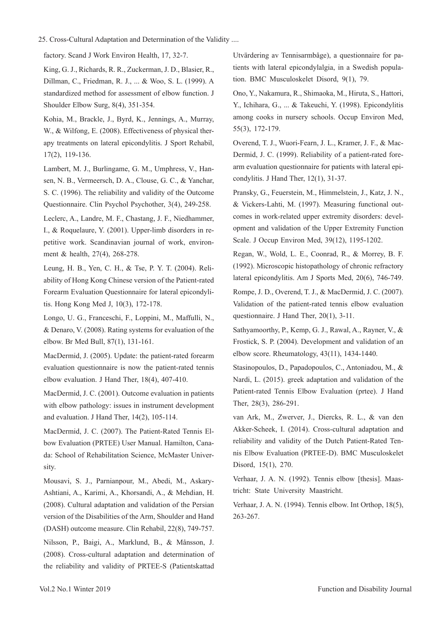#### 25. Cross-Cultural Adaptation and Determination of the Validity ....

factory. Scand J Work Environ Health, 17, 32-7.

King, G. J., Richards, R. R., Zuckerman, J. D., Blasier, R., Dillman, C., Friedman, R. J., ... & Woo, S. L. (1999). A standardized method for assessment of elbow function. J Shoulder Elbow Surg, 8(4), 351-354.

Kohia, M., Brackle, J., Byrd, K., Jennings, A., Murray, W., & Wilfong, E. (2008). Effectiveness of physical therapy treatments on lateral epicondylitis. J Sport Rehabil, 17(2), 119-136.

Lambert, M. J., Burlingame, G. M., Umphress, V., Hansen, N. B., Vermeersch, D. A., Clouse, G. C., & Yanchar, S. C. (1996). The reliability and validity of the Outcome Questionnaire. Clin Psychol Psychother, 3(4), 249-258.

Leclerc, A., Landre, M. F., Chastang, J. F., Niedhammer, I., & Roquelaure, Y. (2001). Upper-limb disorders in repetitive work. Scandinavian journal of work, environment & health, 27(4), 268-278.

Leung, H. B., Yen, C. H., & Tse, P. Y. T. (2004). Reliability of Hong Kong Chinese version of the Patient-rated Forearm Evaluation Questionnaire for lateral epicondylitis. Hong Kong Med J, 10(3), 172-178.

Longo, U. G., Franceschi, F., Loppini, M., Maffulli, N., & Denaro, V. (2008). Rating systems for evaluation of the elbow. Br Med Bull, 87(1), 131-161.

MacDermid, J. (2005). Update: the patient-rated forearm evaluation questionnaire is now the patient-rated tennis elbow evaluation. J Hand Ther, 18(4), 407-410.

MacDermid, J. C. (2001). Outcome evaluation in patients with elbow pathology: issues in instrument development and evaluation. J Hand Ther, 14(2), 105-114.

MacDermid, J. C. (2007). The Patient-Rated Tennis Elbow Evaluation (PRTEE) User Manual. Hamilton, Canada: School of Rehabilitation Science, McMaster University.

Mousavi, S. J., Parnianpour, M., Abedi, M., Askary-Ashtiani, A., Karimi, A., Khorsandi, A., & Mehdian, H. (2008). Cultural adaptation and validation of the Persian version of the Disabilities of the Arm, Shoulder and Hand (DASH) outcome measure. Clin Rehabil, 22(8), 749-757.

Nilsson, P., Baigi, A., Marklund, B., & Månsson, J. (2008). Cross-cultural adaptation and determination of the reliability and validity of PRTEE-S (Patientskattad

Utvärdering av Tennisarmbåge), a questionnaire for patients with lateral epicondylalgia, in a Swedish population. BMC Musculoskelet Disord, 9(1), 79.

Ono, Y., Nakamura, R., Shimaoka, M., Hiruta, S., Hattori, Y., Ichihara, G., ... & Takeuchi, Y. (1998). Epicondylitis among cooks in nursery schools. Occup Environ Med, 55(3), 172-179.

Overend, T. J., Wuori-Fearn, J. L., Kramer, J. F., & Mac-Dermid, J. C. (1999). Reliability of a patient-rated forearm evaluation questionnaire for patients with lateral epicondylitis. J Hand Ther, 12(1), 31-37.

Pransky, G., Feuerstein, M., Himmelstein, J., Katz, J. N., & Vickers-Lahti, M. (1997). Measuring functional outcomes in work-related upper extremity disorders: development and validation of the Upper Extremity Function Scale. J Occup Environ Med, 39(12), 1195-1202.

Regan, W., Wold, L. E., Coonrad, R., & Morrey, B. F. (1992). Microscopic histopathology of chronic refractory lateral epicondylitis. Am J Sports Med, 20(6), 746-749.

Rompe, J. D., Overend, T. J., & MacDermid, J. C. (2007). Validation of the patient-rated tennis elbow evaluation questionnaire. J Hand Ther, 20(1), 3-11.

Sathyamoorthy, P., Kemp, G. J., Rawal, A., Rayner, V., & Frostick, S. P. (2004). Development and validation of an elbow score. Rheumatology, 43(11), 1434-1440.

Stasinopoulos, D., Papadopoulos, C., Antoniadou, M., & Nardi, L. (2015). greek adaptation and validation of the Patient-rated Tennis Elbow Evaluation (prtee). J Hand Ther, 28(3), 286-291.

van Ark, M., Zwerver, J., Diercks, R. L., & van den Akker-Scheek, I. (2014). Cross-cultural adaptation and reliability and validity of the Dutch Patient-Rated Tennis Elbow Evaluation (PRTEE-D). BMC Musculoskelet Disord, 15(1), 270.

Verhaar, J. A. N. (1992). Tennis elbow [thesis]. Maastricht: State University Maastricht.

Verhaar, J. A. N. (1994). Tennis elbow. Int Orthop, 18(5), 263-267.